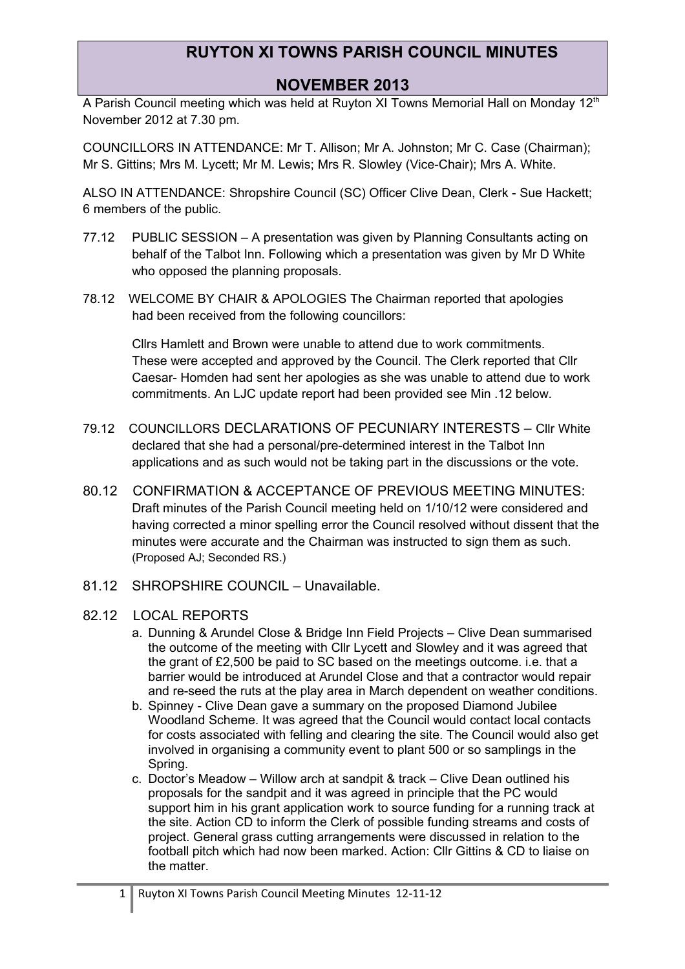### **NOVEMBER 2013**

A Parish Council meeting which was held at Ruyton XI Towns Memorial Hall on Monday 12<sup>th</sup> November 2012 at 7.30 pm.

COUNCILLORS IN ATTENDANCE: Mr T. Allison; Mr A. Johnston; Mr C. Case (Chairman); Mr S. Gittins; Mrs M. Lycett; Mr M. Lewis; Mrs R. Slowley (Vice-Chair); Mrs A. White.

ALSO IN ATTENDANCE: Shropshire Council (SC) Officer Clive Dean, Clerk - Sue Hackett; 6 members of the public.

- 77.12 PUBLIC SESSION A presentation was given by Planning Consultants acting on behalf of the Talbot Inn. Following which a presentation was given by Mr D White who opposed the planning proposals.
- 78.12 WELCOME BY CHAIR & APOLOGIES The Chairman reported that apologies had been received from the following councillors:

Cllrs Hamlett and Brown were unable to attend due to work commitments. These were accepted and approved by the Council. The Clerk reported that Cllr Caesar- Homden had sent her apologies as she was unable to attend due to work commitments. An LJC update report had been provided see Min .12 below.

- 79.12 COUNCILLORS DECLARATIONS OF PECUNIARY INTERESTS Cllr White declared that she had a personal/pre-determined interest in the Talbot Inn applications and as such would not be taking part in the discussions or the vote.
- 80.12 CONFIRMATION & ACCEPTANCE OF PREVIOUS MEETING MINUTES: Draft minutes of the Parish Council meeting held on 1/10/12 were considered and having corrected a minor spelling error the Council resolved without dissent that the minutes were accurate and the Chairman was instructed to sign them as such. (Proposed AJ; Seconded RS.)
- 81.12 SHROPSHIRE COUNCIL Unavailable.
- 82.12 LOCAL REPORTS
	- a. Dunning & Arundel Close & Bridge Inn Field Projects Clive Dean summarised the outcome of the meeting with Cllr Lycett and Slowley and it was agreed that the grant of £2,500 be paid to SC based on the meetings outcome. i.e. that a barrier would be introduced at Arundel Close and that a contractor would repair and re-seed the ruts at the play area in March dependent on weather conditions.
	- b. Spinney Clive Dean gave a summary on the proposed Diamond Jubilee Woodland Scheme. It was agreed that the Council would contact local contacts for costs associated with felling and clearing the site. The Council would also get involved in organising a community event to plant 500 or so samplings in the Spring.
	- c. Doctor's Meadow Willow arch at sandpit & track Clive Dean outlined his proposals for the sandpit and it was agreed in principle that the PC would support him in his grant application work to source funding for a running track at the site. Action CD to inform the Clerk of possible funding streams and costs of project. General grass cutting arrangements were discussed in relation to the football pitch which had now been marked. Action: Cllr Gittins & CD to liaise on the matter.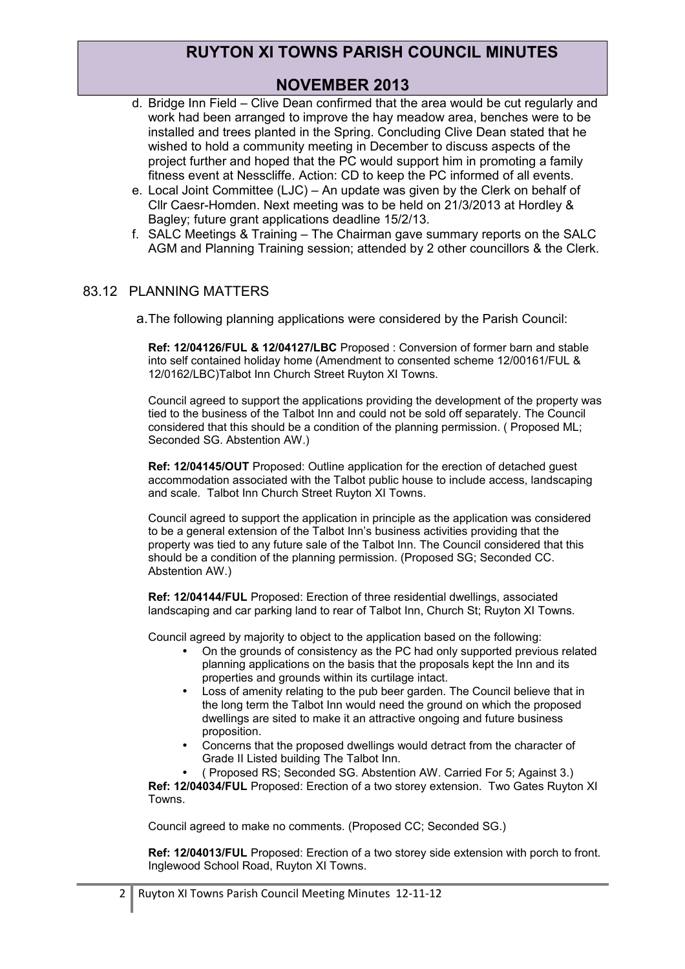## **NOVEMBER 2013**

- d. Bridge Inn Field Clive Dean confirmed that the area would be cut regularly and work had been arranged to improve the hay meadow area, benches were to be installed and trees planted in the Spring. Concluding Clive Dean stated that he wished to hold a community meeting in December to discuss aspects of the project further and hoped that the PC would support him in promoting a family fitness event at Nesscliffe. Action: CD to keep the PC informed of all events.
- e. Local Joint Committee (LJC) An update was given by the Clerk on behalf of Cllr Caesr-Homden. Next meeting was to be held on 21/3/2013 at Hordley & Bagley; future grant applications deadline 15/2/13.
- f. SALC Meetings & Training The Chairman gave summary reports on the SALC AGM and Planning Training session; attended by 2 other councillors & the Clerk.

#### 83.12 PLANNING MATTERS

a.The following planning applications were considered by the Parish Council:

**Ref: 12/04126/FUL & 12/04127/LBC** Proposed : Conversion of former barn and stable into self contained holiday home (Amendment to consented scheme 12/00161/FUL & 12/0162/LBC)Talbot Inn Church Street Ruyton XI Towns.

Council agreed to support the applications providing the development of the property was tied to the business of the Talbot Inn and could not be sold off separately. The Council considered that this should be a condition of the planning permission. ( Proposed ML; Seconded SG. Abstention AW.)

**Ref: 12/04145/OUT** Proposed: Outline application for the erection of detached guest accommodation associated with the Talbot public house to include access, landscaping and scale. Talbot Inn Church Street Ruyton XI Towns.

Council agreed to support the application in principle as the application was considered to be a general extension of the Talbot Inn's business activities providing that the property was tied to any future sale of the Talbot Inn. The Council considered that this should be a condition of the planning permission. (Proposed SG; Seconded CC. Abstention AW.)

**Ref: 12/04144/FUL** Proposed: Erection of three residential dwellings, associated landscaping and car parking land to rear of Talbot Inn, Church St; Ruyton XI Towns.

Council agreed by majority to object to the application based on the following:

- On the grounds of consistency as the PC had only supported previous related planning applications on the basis that the proposals kept the Inn and its properties and grounds within its curtilage intact.
- Loss of amenity relating to the pub beer garden. The Council believe that in the long term the Talbot Inn would need the ground on which the proposed dwellings are sited to make it an attractive ongoing and future business proposition.
- Concerns that the proposed dwellings would detract from the character of Grade II Listed building The Talbot Inn.

• ( Proposed RS; Seconded SG. Abstention AW. Carried For 5; Against 3.) **Ref: 12/04034/FUL** Proposed: Erection of a two storey extension. Two Gates Ruyton XI Towns.

Council agreed to make no comments. (Proposed CC; Seconded SG.)

**Ref: 12/04013/FUL** Proposed: Erection of a two storey side extension with porch to front. Inglewood School Road, Ruyton XI Towns.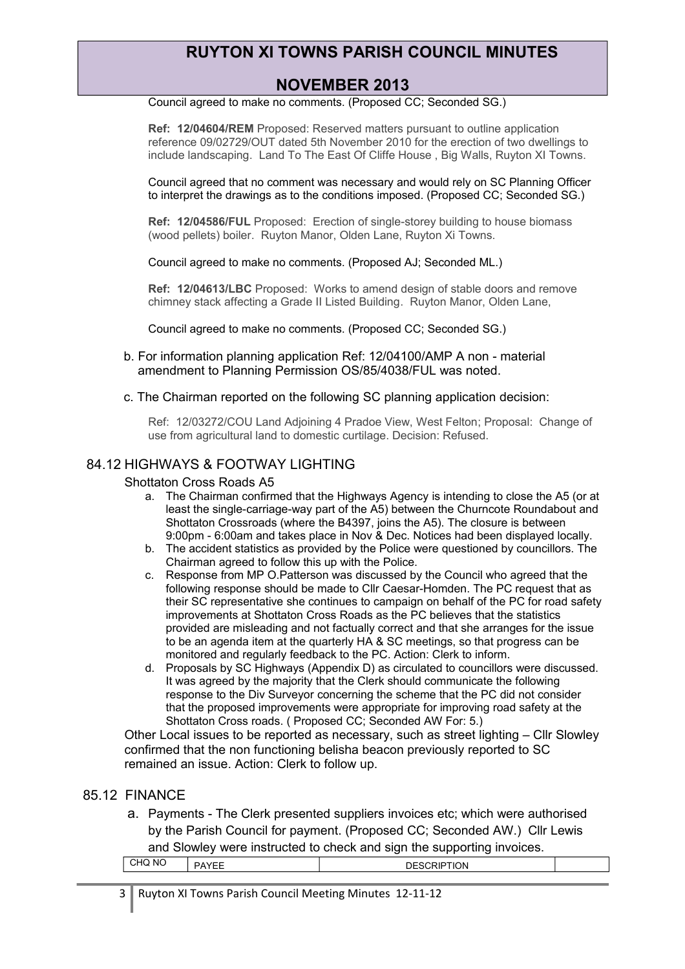## **NOVEMBER 2013**

Council agreed to make no comments. (Proposed CC; Seconded SG.)

**Ref: 12/04604/REM** Proposed: Reserved matters pursuant to outline application reference 09/02729/OUT dated 5th November 2010 for the erection of two dwellings to include landscaping. Land To The East Of Cliffe House , Big Walls, Ruyton XI Towns.

Council agreed that no comment was necessary and would rely on SC Planning Officer to interpret the drawings as to the conditions imposed. (Proposed CC; Seconded SG.)

**Ref: 12/04586/FUL** Proposed: Erection of single-storey building to house biomass (wood pellets) boiler. Ruyton Manor, Olden Lane, Ruyton Xi Towns.

Council agreed to make no comments. (Proposed AJ; Seconded ML.)

**Ref: 12/04613/LBC** Proposed: Works to amend design of stable doors and remove chimney stack affecting a Grade II Listed Building. Ruyton Manor, Olden Lane,

Council agreed to make no comments. (Proposed CC; Seconded SG.)

- b. For information planning application Ref: 12/04100/AMP A non material amendment to Planning Permission OS/85/4038/FUL was noted.
- c. The Chairman reported on the following SC planning application decision:

Ref: 12/03272/COU Land Adjoining 4 Pradoe View, West Felton; Proposal: Change of use from agricultural land to domestic curtilage. Decision: Refused.

#### 84.12 HIGHWAYS & FOOTWAY LIGHTING

#### Shottaton Cross Roads A5

- a. The Chairman confirmed that the Highways Agency is intending to close the A5 (or at least the single-carriage-way part of the A5) between the Churncote Roundabout and Shottaton Crossroads (where the B4397, joins the A5). The closure is between 9:00pm - 6:00am and takes place in Nov & Dec. Notices had been displayed locally.
- b. The accident statistics as provided by the Police were questioned by councillors. The Chairman agreed to follow this up with the Police.
- c. Response from MP O.Patterson was discussed by the Council who agreed that the following response should be made to Cllr Caesar-Homden. The PC request that as their SC representative she continues to campaign on behalf of the PC for road safety improvements at Shottaton Cross Roads as the PC believes that the statistics provided are misleading and not factually correct and that she arranges for the issue to be an agenda item at the quarterly HA & SC meetings, so that progress can be monitored and regularly feedback to the PC. Action: Clerk to inform.
- d. Proposals by SC Highways (Appendix D) as circulated to councillors were discussed. It was agreed by the majority that the Clerk should communicate the following response to the Div Surveyor concerning the scheme that the PC did not consider that the proposed improvements were appropriate for improving road safety at the Shottaton Cross roads. ( Proposed CC; Seconded AW For: 5.)

Other Local issues to be reported as necessary, such as street lighting – Cllr Slowley confirmed that the non functioning belisha beacon previously reported to SC remained an issue. Action: Clerk to follow up.

#### 85.12 FINANCE

a. Payments - The Clerk presented suppliers invoices etc; which were authorised by the Parish Council for payment. (Proposed CC; Seconded AW.) Cllr Lewis and Slowley were instructed to check and sign the supporting invoices.

| $\overline{\phantom{a}}$<br>N0<br>`HQ∶<br>., | . | $\sim$<br><b>ION</b><br>ىر<br>мı<br>-uu |  |
|----------------------------------------------|---|-----------------------------------------|--|
|                                              |   |                                         |  |